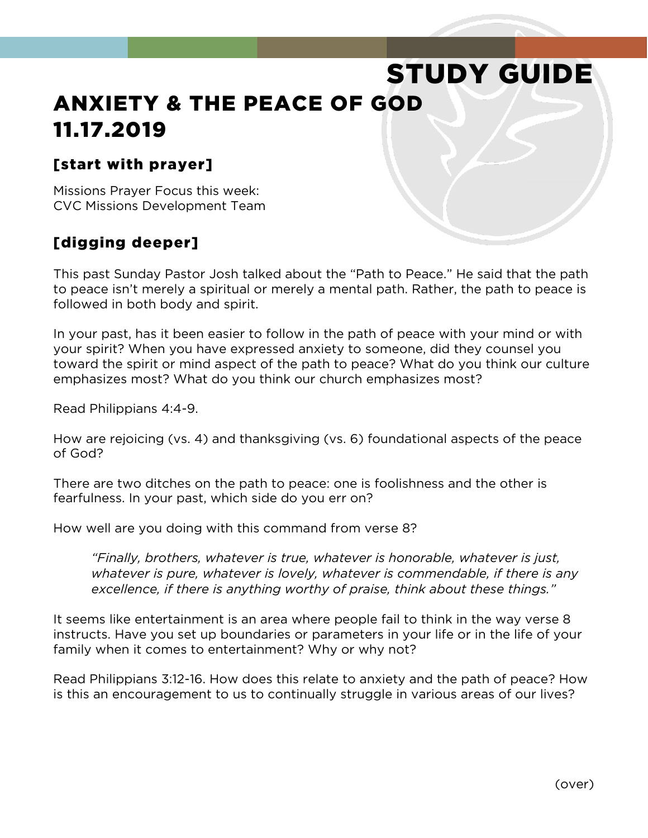# STUDY GUIDE ANXIETY & THE PEACE OF GOD 11.17.2019

#### [start with prayer]

Missions Prayer Focus this week: CVC Missions Development Team

#### [digging deeper]

This past Sunday Pastor Josh talked about the "Path to Peace." He said that the path to peace isn't merely a spiritual or merely a mental path. Rather, the path to peace is followed in both body and spirit.

In your past, has it been easier to follow in the path of peace with your mind or with your spirit? When you have expressed anxiety to someone, did they counsel you toward the spirit or mind aspect of the path to peace? What do you think our culture emphasizes most? What do you think our church emphasizes most?

Read Philippians 4:4-9.

How are rejoicing (vs. 4) and thanksgiving (vs. 6) foundational aspects of the peace of God?

There are two ditches on the path to peace: one is foolishness and the other is fearfulness. In your past, which side do you err on?

How well are you doing with this command from verse 8?

*"Finally, brothers, whatever is true, whatever is honorable, whatever is just, whatever is pure, whatever is lovely, whatever is commendable, if there is any excellence, if there is anything worthy of praise, think about these things."*

It seems like entertainment is an area where people fail to think in the way verse 8 instructs. Have you set up boundaries or parameters in your life or in the life of your family when it comes to entertainment? Why or why not?

Read Philippians 3:12-16. How does this relate to anxiety and the path of peace? How is this an encouragement to us to continually struggle in various areas of our lives?